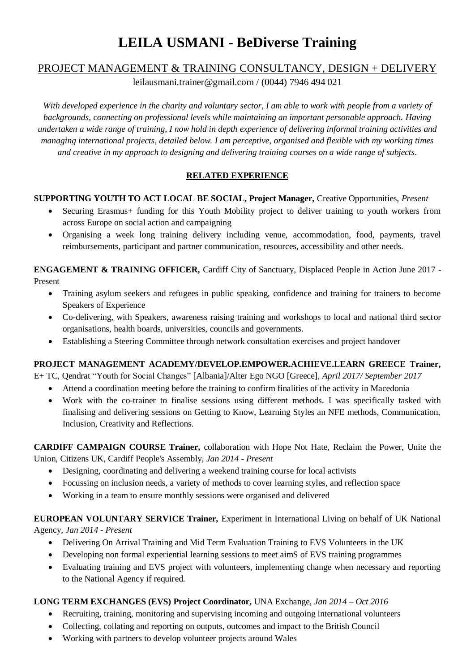# **LEILA USMANI - BeDiverse Training**

## PROJECT MANAGEMENT & TRAINING CONSULTANCY, DESIGN + DELIVERY

[leilausmani.trainer@gmail.com](mailto:leilausmani.trainer@gmail.com) / (0044) 7946 494 021

*With developed experience in the charity and voluntary sector, I am able to work with people from a variety of backgrounds, connecting on professional levels while maintaining an important personable approach. Having undertaken a wide range of training, I now hold in depth experience of delivering informal training activities and managing international projects, detailed below. I am perceptive, organised and flexible with my working times and creative in my approach to designing and delivering training courses on a wide range of subjects.*

## **RELATED EXPERIENCE**

#### **SUPPORTING YOUTH TO ACT LOCAL BE SOCIAL, Project Manager,** Creative Opportunities, *Present*

- Securing Erasmus+ funding for this Youth Mobility project to deliver training to youth workers from across Europe on social action and campaigning
- Organising a week long training delivery including venue, accommodation, food, payments, travel reimbursements, participant and partner communication, resources, accessibility and other needs.

**ENGAGEMENT & TRAINING OFFICER,** Cardiff City of Sanctuary, Displaced People in Action June 2017 - Present

- Training asylum seekers and refugees in public speaking, confidence and training for trainers to become Speakers of Experience
- Co-delivering, with Speakers, awareness raising training and workshops to local and national third sector organisations, health boards, universities, councils and governments.
- Establishing a Steering Committee through network consultation exercises and project handover

#### **PROJECT MANAGEMENT ACADEMY/DEVELOP.EMPOWER.ACHIEVE.LEARN GREECE Trainer,**

E+ TC, Qendrat "Youth for Social Changes" [Albania]/Alter Ego NGO [Greece], *April 2017/ September 2017*

- Attend a coordination meeting before the training to confirm finalities of the activity in Macedonia
- Work with the co-trainer to finalise sessions using different methods. I was specifically tasked with finalising and delivering sessions on Getting to Know, Learning Styles an NFE methods, Communication, Inclusion, Creativity and Reflections.

**CARDIFF CAMPAIGN COURSE Trainer,** collaboration with Hope Not Hate, Reclaim the Power, Unite the Union, Citizens UK, Cardiff People's Assembly, *Jan 2014 - Present*

- Designing, coordinating and delivering a weekend training course for local activists
- Focussing on inclusion needs, a variety of methods to cover learning styles, and reflection space
- Working in a team to ensure monthly sessions were organised and delivered

#### **EUROPEAN VOLUNTARY SERVICE Trainer,** Experiment in International Living on behalf of UK National Agency, *Jan 2014 - Present*

- Delivering On Arrival Training and Mid Term Evaluation Training to EVS Volunteers in the UK
- Developing non formal experiential learning sessions to meet aimS of EVS training programmes
- Evaluating training and EVS project with volunteers, implementing change when necessary and reporting to the National Agency if required.

## **LONG TERM EXCHANGES (EVS) Project Coordinator,** UNA Exchange, *Jan 2014 – Oct 2016*

- Recruiting, training, monitoring and supervising incoming and outgoing international volunteers
- Collecting, collating and reporting on outputs, outcomes and impact to the British Council
- Working with partners to develop volunteer projects around Wales